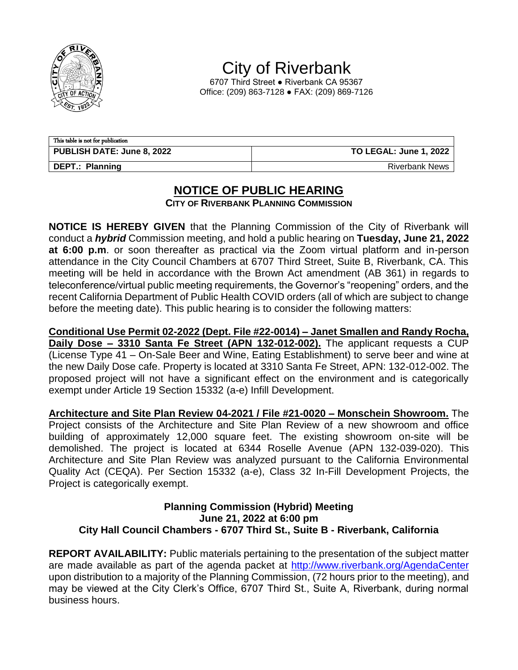

City of Riverbank

6707 Third Street ● Riverbank CA 95367 Office: (209) 863-7128 ● FAX: (209) 869-7126

| This table is not for publication |                               |  |
|-----------------------------------|-------------------------------|--|
| <b>PUBLISH DATE: June 8, 2022</b> | <b>TO LEGAL: June 1, 2022</b> |  |
| DEPT.: Planning                   | <b>Riverbank News</b>         |  |

## **NOTICE OF PUBLIC HEARING**

**CITY OF RIVERBANK PLANNING COMMISSION**

**NOTICE IS HEREBY GIVEN** that the Planning Commission of the City of Riverbank will conduct a *hybrid* Commission meeting, and hold a public hearing on **Tuesday, June 21, 2022 at 6:00 p.m**. or soon thereafter as practical via the Zoom virtual platform and in-person attendance in the City Council Chambers at 6707 Third Street, Suite B, Riverbank, CA. This meeting will be held in accordance with the Brown Act amendment (AB 361) in regards to teleconference/virtual public meeting requirements, the Governor's "reopening" orders, and the recent California Department of Public Health COVID orders (all of which are subject to change before the meeting date). This public hearing is to consider the following matters:

**Conditional Use Permit 02-2022 (Dept. File #22-0014) – Janet Smallen and Randy Rocha, Daily Dose – 3310 Santa Fe Street (APN 132-012-002).** The applicant requests a CUP (License Type 41 – On-Sale Beer and Wine, Eating Establishment) to serve beer and wine at the new Daily Dose cafe. Property is located at 3310 Santa Fe Street, APN: 132-012-002. The proposed project will not have a significant effect on the environment and is categorically exempt under Article 19 Section 15332 (a-e) Infill Development.

**Architecture and Site Plan Review 04-2021 / File #21-0020 – Monschein Showroom.** The Project consists of the Architecture and Site Plan Review of a new showroom and office building of approximately 12,000 square feet. The existing showroom on-site will be demolished. The project is located at 6344 Roselle Avenue (APN 132-039-020). This Architecture and Site Plan Review was analyzed pursuant to the California Environmental Quality Act (CEQA). Per Section 15332 (a-e), Class 32 In-Fill Development Projects, the Project is categorically exempt.

## **Planning Commission (Hybrid) Meeting June 21, 2022 at 6:00 pm City Hall Council Chambers - 6707 Third St., Suite B - Riverbank, California**

**REPORT AVAILABILITY:** Public materials pertaining to the presentation of the subject matter are made available as part of the agenda packet at<http://www.riverbank.org/AgendaCenter> upon distribution to a majority of the Planning Commission, (72 hours prior to the meeting), and may be viewed at the City Clerk's Office, 6707 Third St., Suite A, Riverbank, during normal business hours.